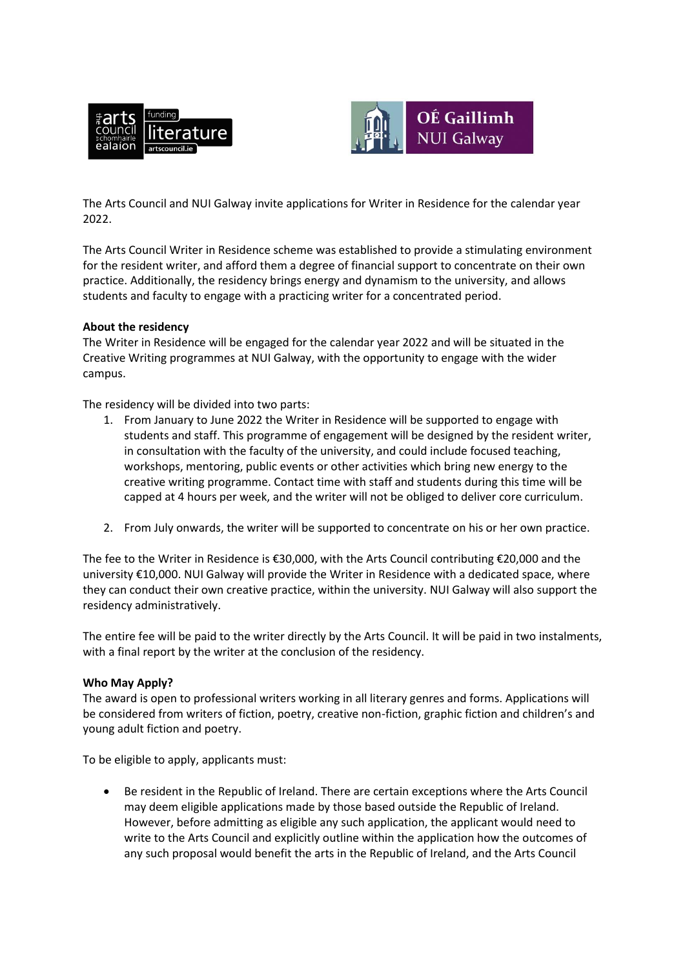



The Arts Council and NUI Galway invite applications for Writer in Residence for the calendar year 2022.

The Arts Council Writer in Residence scheme was established to provide a stimulating environment for the resident writer, and afford them a degree of financial support to concentrate on their own practice. Additionally, the residency brings energy and dynamism to the university, and allows students and faculty to engage with a practicing writer for a concentrated period.

## **About the residency**

The Writer in Residence will be engaged for the calendar year 2022 and will be situated in the Creative Writing programmes at NUI Galway, with the opportunity to engage with the wider campus.

The residency will be divided into two parts:

- 1. From January to June 2022 the Writer in Residence will be supported to engage with students and staff. This programme of engagement will be designed by the resident writer, in consultation with the faculty of the university, and could include focused teaching, workshops, mentoring, public events or other activities which bring new energy to the creative writing programme. Contact time with staff and students during this time will be capped at 4 hours per week, and the writer will not be obliged to deliver core curriculum.
- 2. From July onwards, the writer will be supported to concentrate on his or her own practice.

The fee to the Writer in Residence is €30,000, with the Arts Council contributing €20,000 and the university €10,000. NUI Galway will provide the Writer in Residence with a dedicated space, where they can conduct their own creative practice, within the university. NUI Galway will also support the residency administratively.

The entire fee will be paid to the writer directly by the Arts Council. It will be paid in two instalments, with a final report by the writer at the conclusion of the residency.

## **Who May Apply?**

The award is open to professional writers working in all literary genres and forms. Applications will be considered from writers of fiction, poetry, creative non-fiction, graphic fiction and children's and young adult fiction and poetry.

To be eligible to apply, applicants must:

 Be resident in the Republic of Ireland. There are certain exceptions where the Arts Council may deem eligible applications made by those based outside the Republic of Ireland. However, before admitting as eligible any such application, the applicant would need to write to the Arts Council and explicitly outline within the application how the outcomes of any such proposal would benefit the arts in the Republic of Ireland, and the Arts Council